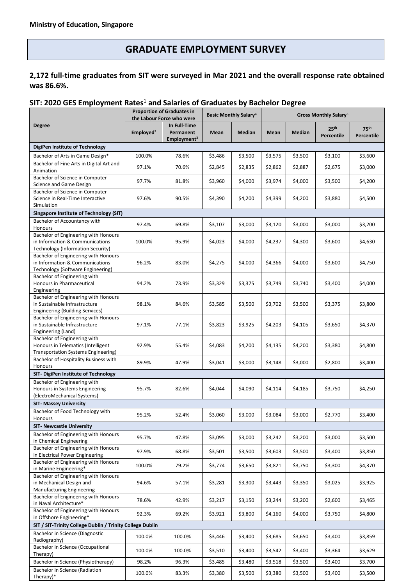# **GRADUATE EMPLOYMENT SURVEY**

## **2,172 full-time graduates from SIT were surveyed in Mar 2021 and the overall response rate obtained was 86.6%.**

### **SIT: 2020 GES Employment Rates** <sup>1</sup> **and Salaries of Graduates by Bachelor Degree**

|                                                                                                                         | <b>Proportion of Graduates in</b><br>the Labour Force who were |                                                      | <b>Basic Monthly Salary</b> <sup>4</sup> |               | Gross Monthly Salary <sup>5</sup> |               |                                |                                |  |
|-------------------------------------------------------------------------------------------------------------------------|----------------------------------------------------------------|------------------------------------------------------|------------------------------------------|---------------|-----------------------------------|---------------|--------------------------------|--------------------------------|--|
| <b>Degree</b>                                                                                                           | Employed <sup>2</sup>                                          | In Full-Time<br>Permanent<br>Employment <sup>3</sup> | Mean                                     | <b>Median</b> | Mean                              | <b>Median</b> | 25 <sup>th</sup><br>Percentile | 75 <sup>th</sup><br>Percentile |  |
| DigiPen Institute of Technology                                                                                         |                                                                |                                                      |                                          |               |                                   |               |                                |                                |  |
| Bachelor of Arts in Game Design*                                                                                        | 100.0%                                                         | 78.6%                                                | \$3,486                                  | \$3,500       | \$3,575                           | \$3,500       | \$3,100                        | \$3,600                        |  |
| Bachelor of Fine Arts in Digital Art and<br>Animation                                                                   | 97.1%                                                          | 70.6%                                                | \$2,845                                  | \$2,835       | \$2,862                           | \$2,887       | \$2,675                        | \$3,000                        |  |
| Bachelor of Science in Computer<br>Science and Game Design                                                              | 97.7%                                                          | 81.8%                                                | \$3,960                                  | \$4,000       | \$3,974                           | \$4,000       | \$3,500                        | \$4,200                        |  |
| Bachelor of Science in Computer<br>Science in Real-Time Interactive<br>Simulation                                       | 97.6%                                                          | 90.5%                                                | \$4,390                                  | \$4,200       | \$4,399                           | \$4,200       | \$3,880                        | \$4,500                        |  |
| <b>Singapore Institute of Technology (SIT)</b>                                                                          |                                                                |                                                      |                                          |               |                                   |               |                                |                                |  |
| <b>Bachelor of Accountancy with</b><br>Honours                                                                          | 97.4%                                                          | 69.8%                                                | \$3,107                                  | \$3,000       | \$3,120                           | \$3,000       | \$3,000                        | \$3,200                        |  |
| Bachelor of Engineering with Honours<br>in Information & Communications<br><b>Technology (Information Security)</b>     | 100.0%                                                         | 95.9%                                                | \$4,023                                  | \$4,000       | \$4,237                           | \$4,300       | \$3,600                        | \$4,630                        |  |
| Bachelor of Engineering with Honours<br>in Information & Communications<br>Technology (Software Engineering)            | 96.2%                                                          | 83.0%                                                | \$4,275                                  | \$4,000       | \$4,366                           | \$4,000       | \$3,600                        | \$4,750                        |  |
| Bachelor of Engineering with<br>Honours in Pharmaceutical                                                               | 94.2%                                                          | 73.9%                                                | \$3,329                                  | \$3,375       | \$3,749                           | \$3,740       | \$3,400                        | \$4,000                        |  |
| Engineering<br>Bachelor of Engineering with Honours<br>in Sustainable Infrastructure<br>Engineering (Building Services) | 98.1%                                                          | 84.6%                                                | \$3,585                                  | \$3,500       | \$3,702                           | \$3,500       | \$3,375                        | \$3,800                        |  |
| Bachelor of Engineering with Honours<br>in Sustainable Infrastructure<br>Engineering (Land)                             | 97.1%                                                          | 77.1%                                                | \$3,823                                  | \$3,925       | \$4,203                           | \$4,105       | \$3,650                        | \$4,370                        |  |
| Bachelor of Engineering with<br>Honours in Telematics (Intelligent<br>Transportation Systems Engineering)               | 92.9%                                                          | 55.4%                                                | \$4,083                                  | \$4,200       | \$4,135                           | \$4,200       | \$3,380                        | \$4,800                        |  |
| Bachelor of Hospitality Business with<br>Honours                                                                        | 89.9%                                                          | 47.9%                                                | \$3,041                                  | \$3,000       | \$3,148                           | \$3,000       | \$2,800                        | \$3,400                        |  |
| SIT- DigiPen Institute of Technology                                                                                    |                                                                |                                                      |                                          |               |                                   |               |                                |                                |  |
| Bachelor of Engineering with<br>Honours in Systems Engineering<br>(ElectroMechanical Systems)                           | 95.7%                                                          | 82.6%                                                | \$4,044                                  | \$4,090       | \$4,114                           | \$4,185       | \$3,750                        | \$4,250                        |  |
| <b>SIT- Massey University</b>                                                                                           |                                                                |                                                      |                                          |               |                                   |               |                                |                                |  |
| Bachelor of Food Technology with<br>Honours                                                                             | 95.2%                                                          | 52.4%                                                | \$3,060                                  | \$3,000       | \$3,084                           | \$3,000       | \$2,770                        | \$3,400                        |  |
| <b>SIT- Newcastle University</b>                                                                                        |                                                                |                                                      |                                          |               |                                   |               |                                |                                |  |
| Bachelor of Engineering with Honours<br>in Chemical Engineering                                                         | 95.7%                                                          | 47.8%                                                | \$3,095                                  | \$3,000       | \$3,242                           | \$3,200       | \$3,000                        | \$3,500                        |  |
| Bachelor of Engineering with Honours<br>in Electrical Power Engineering                                                 | 97.9%                                                          | 68.8%                                                | \$3,501                                  | \$3,500       | \$3,603                           | \$3,500       | \$3,400                        | \$3,850                        |  |
| Bachelor of Engineering with Honours<br>in Marine Engineering*                                                          | 100.0%                                                         | 79.2%                                                | \$3,774                                  | \$3,650       | \$3,821                           | \$3,750       | \$3,300                        | \$4,370                        |  |
| Bachelor of Engineering with Honours<br>in Mechanical Design and<br>Manufacturing Engineering                           | 94.6%                                                          | 57.1%                                                | \$3,281                                  | \$3,300       | \$3,443                           | \$3,350       | \$3,025                        | \$3,925                        |  |
| Bachelor of Engineering with Honours<br>in Naval Architecture*                                                          | 78.6%                                                          | 42.9%                                                | \$3,217                                  | \$3,150       | \$3,244                           | \$3,200       | \$2,600                        | \$3,465                        |  |
| Bachelor of Engineering with Honours<br>in Offshore Engineering*                                                        | 92.3%                                                          | 69.2%                                                | \$3,921                                  | \$3,800       | \$4,160                           | \$4,000       | \$3,750                        | \$4,800                        |  |
| SIT / SIT-Trinity College Dublin / Trinity College Dublin                                                               |                                                                |                                                      |                                          |               |                                   |               |                                |                                |  |
| Bachelor in Science (Diagnostic<br>Radiography)                                                                         | 100.0%                                                         | 100.0%                                               | \$3,446                                  | \$3,400       | \$3,685                           | \$3,650       | \$3,400                        | \$3,859                        |  |
| <b>Bachelor in Science (Occupational</b><br>Therapy)                                                                    | 100.0%                                                         | 100.0%                                               | \$3,510                                  | \$3,400       | \$3,542                           | \$3,400       | \$3,364                        | \$3,629                        |  |
| Bachelor in Science (Physiotherapy)                                                                                     | 98.2%                                                          | 96.3%                                                | \$3,485                                  | \$3,480       | \$3,518                           | \$3,500       | \$3,400                        | \$3,700                        |  |
| Bachelor in Science (Radiation<br>Therapy)*                                                                             | 100.0%                                                         | 83.3%                                                | \$3,380                                  | \$3,500       | \$3,380                           | \$3,500       | \$3,400                        | \$3,500                        |  |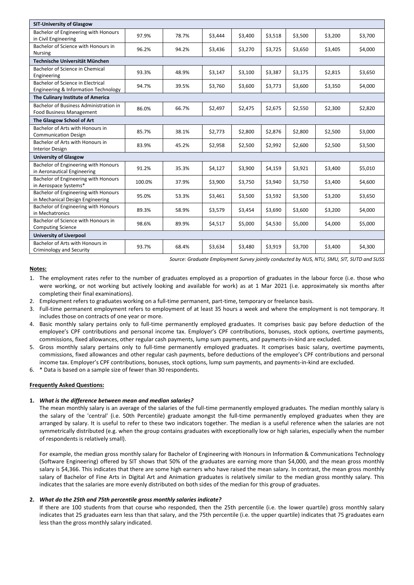| <b>SIT-University of Glasgow</b>                                          |        |       |         |         |         |         |         |         |  |  |  |
|---------------------------------------------------------------------------|--------|-------|---------|---------|---------|---------|---------|---------|--|--|--|
| Bachelor of Engineering with Honours<br>in Civil Engineering              | 97.9%  | 78.7% | \$3,444 | \$3,400 | \$3,518 | \$3,500 | \$3,200 | \$3,700 |  |  |  |
| Bachelor of Science with Honours in<br><b>Nursing</b>                     | 96.2%  | 94.2% | \$3,436 | \$3,270 | \$3,725 | \$3,650 | \$3,405 | \$4,000 |  |  |  |
| Technische Universität München                                            |        |       |         |         |         |         |         |         |  |  |  |
| Bachelor of Science in Chemical<br>Engineering                            | 93.3%  | 48.9% | \$3,147 | \$3,100 | \$3,387 | \$3,175 | \$2,815 | \$3,650 |  |  |  |
| Bachelor of Science in Electrical<br>Engineering & Information Technology | 94.7%  | 39.5% | \$3,760 | \$3,600 | \$3,773 | \$3,600 | \$3,350 | \$4,000 |  |  |  |
| The Culinary Institute of America                                         |        |       |         |         |         |         |         |         |  |  |  |
| Bachelor of Business Administration in<br>Food Business Management        | 86.0%  | 66.7% | \$2,497 | \$2,475 | \$2,675 | \$2,550 | \$2,300 | \$2,820 |  |  |  |
| The Glasgow School of Art                                                 |        |       |         |         |         |         |         |         |  |  |  |
| Bachelor of Arts with Honours in<br><b>Communication Design</b>           | 85.7%  | 38.1% | \$2,773 | \$2,800 | \$2,876 | \$2,800 | \$2,500 | \$3,000 |  |  |  |
| Bachelor of Arts with Honours in<br><b>Interior Design</b>                | 83.9%  | 45.2% | \$2,958 | \$2,500 | \$2,992 | \$2,600 | \$2,500 | \$3,500 |  |  |  |
| <b>University of Glasgow</b>                                              |        |       |         |         |         |         |         |         |  |  |  |
| Bachelor of Engineering with Honours<br>in Aeronautical Engineering       | 91.2%  | 35.3% | \$4,127 | \$3,900 | \$4,159 | \$3,921 | \$3,400 | \$5,010 |  |  |  |
| Bachelor of Engineering with Honours<br>in Aerospace Systems*             | 100.0% | 37.9% | \$3,900 | \$3,750 | \$3,940 | \$3,750 | \$3,400 | \$4,600 |  |  |  |
| Bachelor of Engineering with Honours<br>in Mechanical Design Engineering  | 95.0%  | 53.3% | \$3,461 | \$3,500 | \$3,592 | \$3,500 | \$3,200 | \$3,650 |  |  |  |
| Bachelor of Engineering with Honours<br>in Mechatronics                   | 89.3%  | 58.9% | \$3,579 | \$3,454 | \$3,690 | \$3,600 | \$3,200 | \$4,000 |  |  |  |
| Bachelor of Science with Honours in<br><b>Computing Science</b>           | 98.6%  | 89.9% | \$4,517 | \$5,000 | \$4,530 | \$5,000 | \$4,000 | \$5,000 |  |  |  |
| University of Liverpool                                                   |        |       |         |         |         |         |         |         |  |  |  |
| Bachelor of Arts with Honours in<br>Criminology and Security              | 93.7%  | 68.4% | \$3,634 | \$3,480 | \$3,919 | \$3,700 | \$3,400 | \$4,300 |  |  |  |

*Source: Graduate Employment Survey jointly conducted by NUS, NTU, SMU, SIT, SUTD and SUSS*

#### **Notes:**

1. The employment rates refer to the number of graduates employed as a proportion of graduates in the labour force (i.e. those who were working, or not working but actively looking and available for work) as at 1 Mar 2021 (i.e. approximately six months after completing their final examinations).

- 2. Employment refers to graduates working on a full-time permanent, part-time, temporary or freelance basis.
- 3. Full-time permanent employment refers to employment of at least 35 hours a week and where the employment is not temporary. It includes those on contracts of one year or more.
- 4. Basic monthly salary pertains only to full-time permanently employed graduates. It comprises basic pay before deduction of the employee's CPF contributions and personal income tax. Employer's CPF contributions, bonuses, stock options, overtime payments, commissions, fixed allowances, other regular cash payments, lump sum payments, and payments-in-kind are excluded.
- 5. Gross monthly salary pertains only to full-time permanently employed graduates. It comprises basic salary, overtime payments, commissions, fixed allowances and other regular cash payments, before deductions of the employee's CPF contributions and personal income tax. Employer's CPF contributions, bonuses, stock options, lump sum payments, and payments-in-kind are excluded.
- 6. \* Data is based on a sample size of fewer than 30 respondents.

#### **Frequently Asked Questions:**

#### **1.** *What is the difference between mean and median salaries?*

The mean monthly salary is an average of the salaries of the full-time permanently employed graduates. The median monthly salary is the salary of the 'central' (i.e. 50th Percentile) graduate amongst the full-time permanently employed graduates when they are arranged by salary. It is useful to refer to these two indicators together. The median is a useful reference when the salaries are not symmetrically distributed (e.g. when the group contains graduates with exceptionally low or high salaries, especially when the number of respondents is relatively small).

For example, the median gross monthly salary for Bachelor of Engineering with Honours in Information & Communications Technology (Software Engineering) offered by SIT shows that 50% of the graduates are earning more than \$4,000, and the mean gross monthly salary is \$4,366. This indicates that there are some high earners who have raised the mean salary. In contrast, the mean gross monthly salary of Bachelor of Fine Arts in Digital Art and Animation graduates is relatively similar to the median gross monthly salary. This indicates that the salaries are more evenly distributed on both sides of the median for this group of graduates.

#### **2.** *What do the 25th and 75th percentile gross monthly salaries indicate?*

If there are 100 students from that course who responded, then the 25th percentile (i.e. the lower quartile) gross monthly salary indicates that 25 graduates earn less than that salary, and the 75th percentile (i.e. the upper quartile) indicates that 75 graduates earn less than the gross monthly salary indicated.